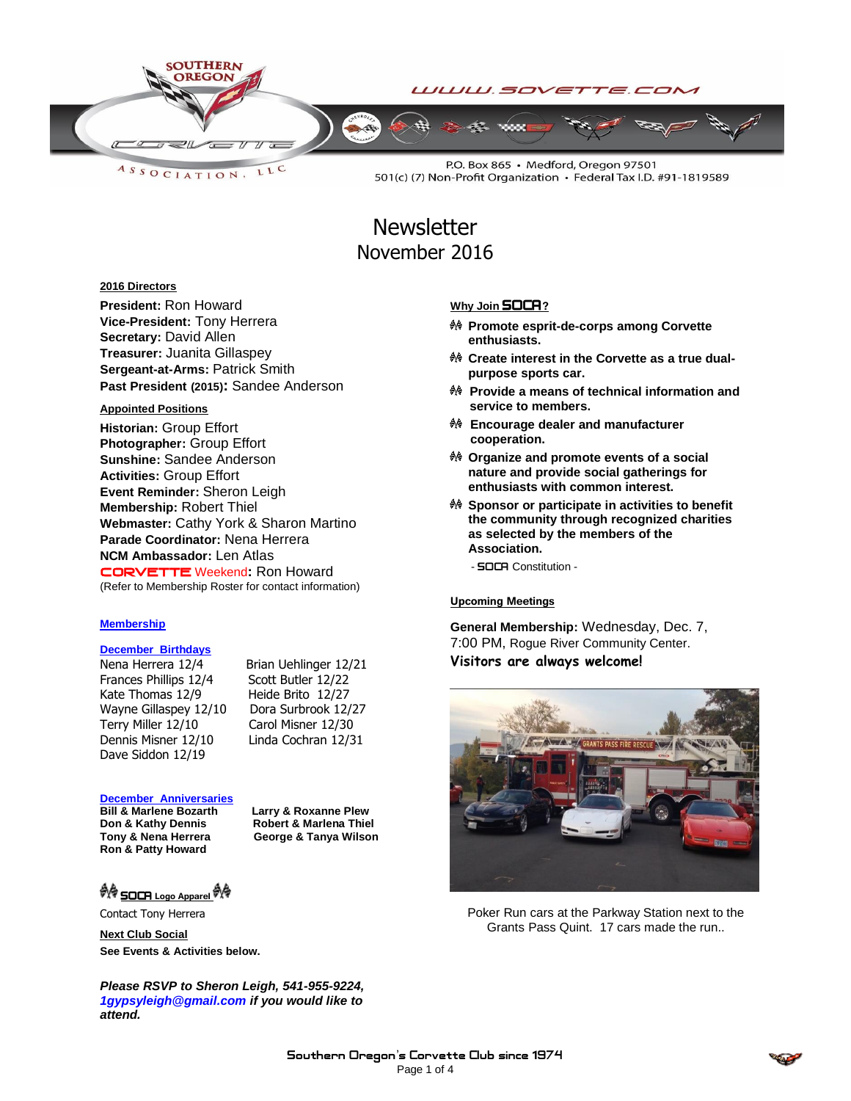

LLC ASSOCIATION.

P.O. Box 865 · Medford, Oregon 97501 501(c) (7) Non-Profit Organization • Federal Tax I.D. #91-1819589

# **Newsletter** November 2016

#### **2016 Directors**

**President:** Ron Howard **Vice-President:** Tony Herrera **Secretary:** David Allen **Treasurer:** Juanita Gillaspey **Sergeant-at-Arms:** Patrick Smith **Past President (2015):** Sandee Anderson

#### **Appointed Positions**

**Historian:** Group Effort **Photographer:** Group Effort **Sunshine:** Sandee Anderson **Activities:** Group Effort **Event Reminder:** Sheron Leigh **Membership:** Robert Thiel **Webmaster:** Cathy York & Sharon Martino **Parade Coordinator:** Nena Herrera **NCM Ambassador:** Len Atlas CORVETTEWeekend**:** Ron Howard (Refer to Membership Roster for contact information)

#### **Membership**

#### **December Birthdays**

Nena Herrera 12/4 Brian Uehlinger 12/21 Frances Phillips 12/4 Scott Butler 12/22 Kate Thomas 12/9 Heide Brito 12/27 Wayne Gillaspey 12/10 Dora Surbrook 12/27 Terry Miller 12/10 Carol Misner 12/30 Dennis Misner 12/10 Linda Cochran 12/31 Dave Siddon 12/19

#### **December Anniversaries**

**Don & Kathy Dennis Robert & Marlena Thiel<br>Tony & Nena Herrera George & Tanya Wilson Ron & Patty Howard**

**Bill & Marlene Bozarth Larry & Roxanne Plew George & Tanya Wilson** 

**N** SOCA Logo Apparel

Contact Tony Herrera

**Next Club Social**

**See Events & Activities below.**

*Please RSVP to Sheron Leigh, 541-955-9224, 1gypsyleigh@gmail.com if you would like to attend.*

#### **Why Join SOCA**?

- **Promote esprit-de-corps among Corvette enthusiasts.**
- <sup>♦</sup> Create interest in the Corvette as a true dual**purpose sports car.**
- **Provide a means of technical information and service to members.**
- **Encourage dealer and manufacturer cooperation.**
- **Organize and promote events of a social nature and provide social gatherings for enthusiasts with common interest.**
- **Sponsor or participate in activities to benefit the community through recognized charities as selected by the members of the Association.**

- **SOCA** Constitution -

#### Upcoming Meetings

**General Membership:** Wednesday, Dec. 7, 7:00 PM, Rogue River Community Center. **Visitors are always welcome!**



Poker Run cars at the Parkway Station next to the Grants Pass Quint. 17 cars made the run..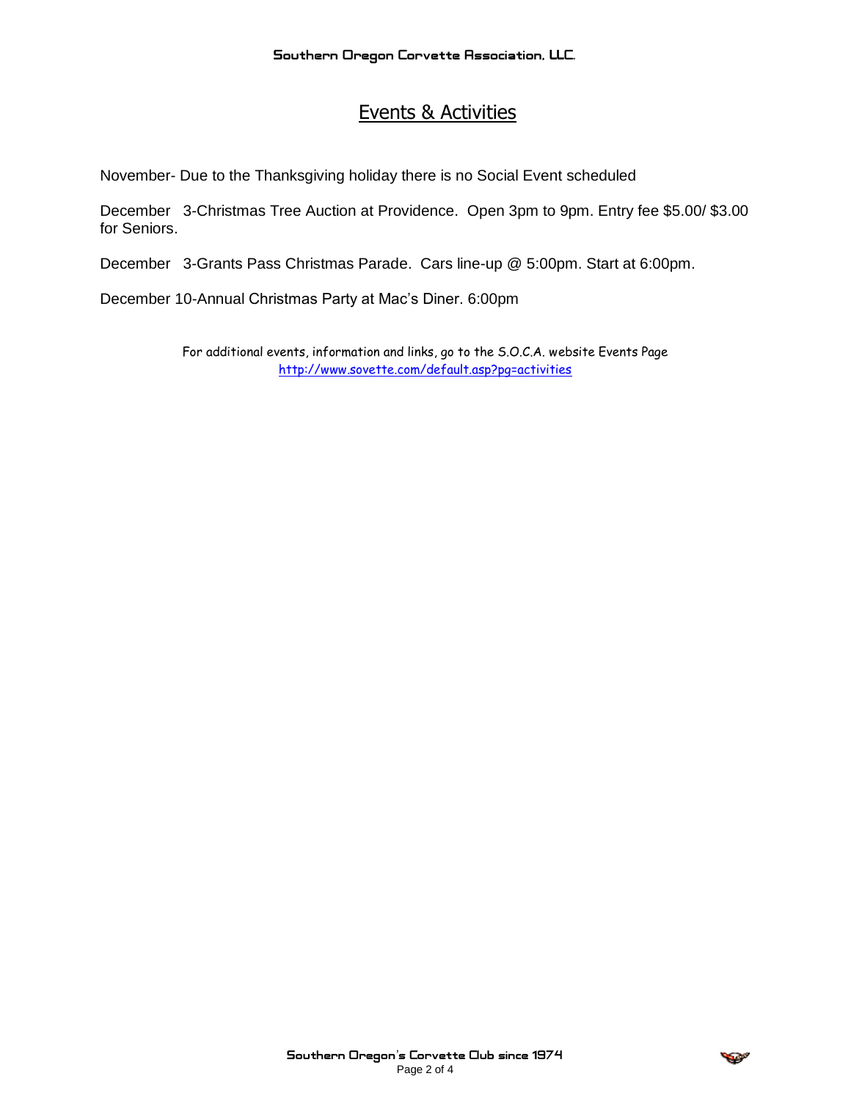## Events & Activities

November- Due to the Thanksgiving holiday there is no Social Event scheduled

December 3-Christmas Tree Auction at Providence. Open 3pm to 9pm. Entry fee \$5.00/ \$3.00 for Seniors.

December 3-Grants Pass Christmas Parade. Cars line-up @ 5:00pm. Start at 6:00pm.

December 10-Annual Christmas Party at Mac's Diner. 6:00pm

For additional events, information and links, go to the S.O.C.A. website Events Page <http://www.sovette.com/default.asp?pg=activities>

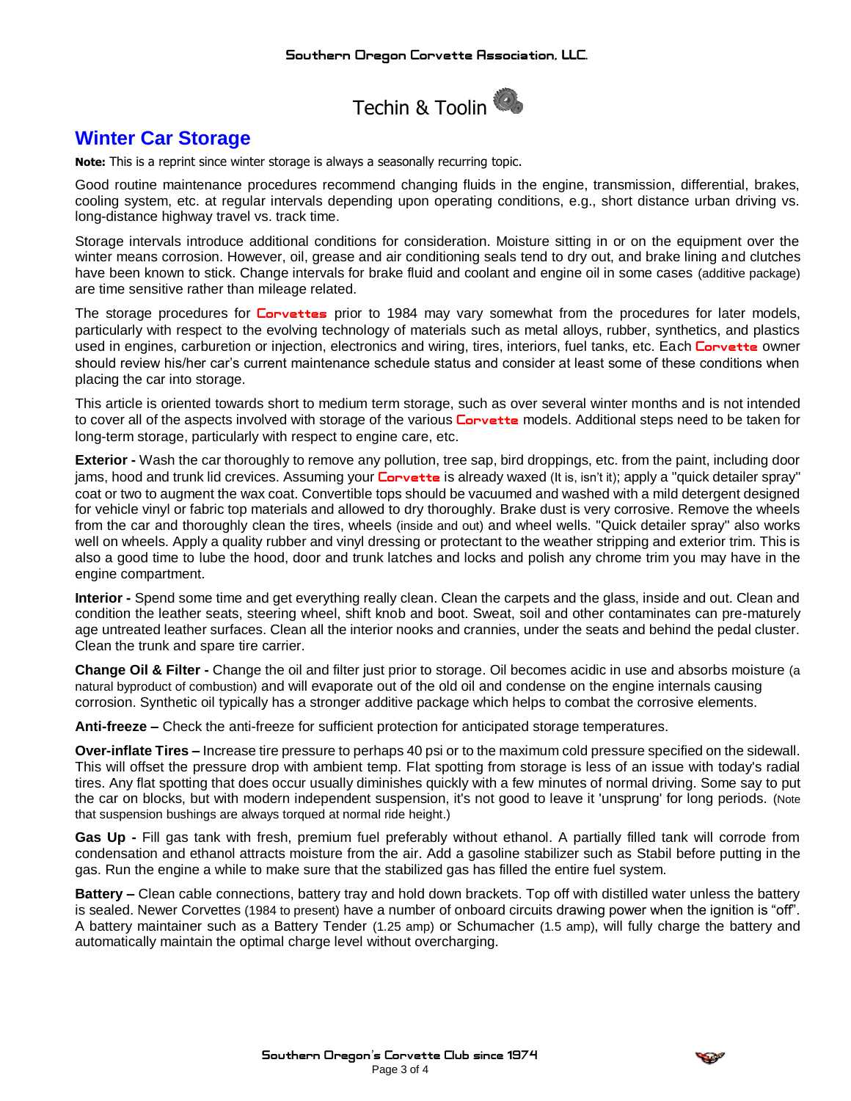

### **Winter Car Storage**

**Note:** This is a reprint since winter storage is always a seasonally recurring topic.

Good routine maintenance procedures recommend changing fluids in the engine, transmission, differential, brakes, cooling system, etc. at regular intervals depending upon operating conditions, e.g., short distance urban driving vs. long-distance highway travel vs. track time.

Storage intervals introduce additional conditions for consideration. Moisture sitting in or on the equipment over the winter means corrosion. However, oil, grease and air conditioning seals tend to dry out, and brake lining and clutches have been known to stick. Change intervals for brake fluid and coolant and engine oil in some cases (additive package) are time sensitive rather than mileage related.

The storage procedures for **Corvettes** prior to 1984 may vary somewhat from the procedures for later models, particularly with respect to the evolving technology of materials such as metal alloys, rubber, synthetics, and plastics used in engines, carburetion or injection, electronics and wiring, tires, interiors, fuel tanks, etc. Each **Corvette** owner should review his/her car's current maintenance schedule status and consider at least some of these conditions when placing the car into storage.

This article is oriented towards short to medium term storage, such as over several winter months and is not intended to cover all of the aspects involved with storage of the various **Corvette** models. Additional steps need to be taken for long-term storage, particularly with respect to engine care, etc.

**Exterior -** Wash the car thoroughly to remove any pollution, tree sap, bird droppings, etc. from the paint, including door jams, hood and trunk lid crevices. Assuming your **Corvette** is already waxed (It is, isn't it); apply a "quick detailer spray" coat or two to augment the wax coat. Convertible tops should be vacuumed and washed with a mild detergent designed for vehicle vinyl or fabric top materials and allowed to dry thoroughly. Brake dust is very corrosive. Remove the wheels from the car and thoroughly clean the tires, wheels (inside and out) and wheel wells. "Quick detailer spray" also works well on wheels. Apply a quality rubber and vinyl dressing or protectant to the weather stripping and exterior trim. This is also a good time to lube the hood, door and trunk latches and locks and polish any chrome trim you may have in the engine compartment.

**Interior -** Spend some time and get everything really clean. Clean the carpets and the glass, inside and out. Clean and condition the leather seats, steering wheel, shift knob and boot. Sweat, soil and other contaminates can pre-maturely age untreated leather surfaces. Clean all the interior nooks and crannies, under the seats and behind the pedal cluster. Clean the trunk and spare tire carrier.

**Change Oil & Filter -** Change the oil and filter just prior to storage. Oil becomes acidic in use and absorbs moisture (a natural byproduct of combustion) and will evaporate out of the old oil and condense on the engine internals causing corrosion. Synthetic oil typically has a stronger additive package which helps to combat the corrosive elements.

**Anti-freeze –** Check the anti-freeze for sufficient protection for anticipated storage temperatures.

**Over-inflate Tires –** Increase tire pressure to perhaps 40 psi or to the maximum cold pressure specified on the sidewall. This will offset the pressure drop with ambient temp. Flat spotting from storage is less of an issue with today's radial tires. Any flat spotting that does occur usually diminishes quickly with a few minutes of normal driving. Some say to put the car on blocks, but with modern independent suspension, it's not good to leave it 'unsprung' for long periods. (Note that suspension bushings are always torqued at normal ride height.)

**Gas Up -** Fill gas tank with fresh, premium fuel preferably without ethanol. A partially filled tank will corrode from condensation and ethanol attracts moisture from the air. Add a gasoline stabilizer such as Stabil before putting in the gas. Run the engine a while to make sure that the stabilized gas has filled the entire fuel system.

**Battery –** Clean cable connections, battery tray and hold down brackets. Top off with distilled water unless the battery is sealed. Newer Corvettes (1984 to present) have a number of onboard circuits drawing power when the ignition is "off". A battery maintainer such as a Battery Tender (1.25 amp) or Schumacher (1.5 amp), will fully charge the battery and automatically maintain the optimal charge level without overcharging.